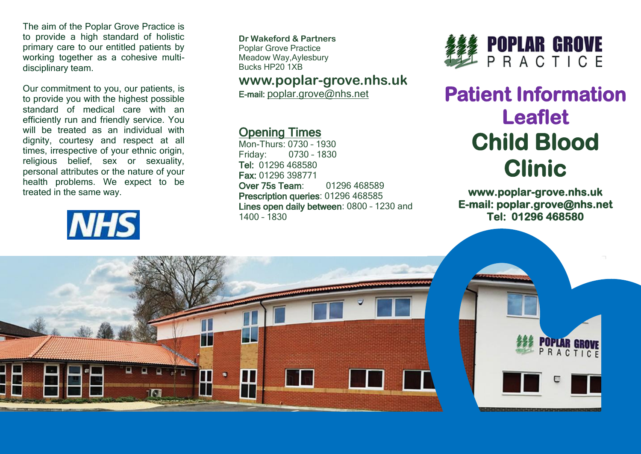The aim of the Poplar Grove Practice is to provide a high standard of holistic primary care to our entitled patients by working together as a cohesive multidisciplinary team.

Our commitment to you, our patients, is to provide you with the highest possible standard of medical care with an efficiently run and friendly service. You will be treated as an individual with dignity, courtesy and respect at all times, irrespective of your ethnic origin, religious belief, sex or sexuality, personal attributes or the nature of your health problems. We expect to be treated in the same way.



**Dr Wakeford & Partners** Poplar Grove Practice Meadow Way,Aylesbury Bucks HP20 1XB

## **www.poplar-grove.nhs.uk**

E-mail: [poplar.grove@nhs.net](mailto:poplar.grove@nhs.net)

## Opening Times

Mon-Thurs: 0730 – 1930 Friday: 0730 – 1830 Tel: 01296 468580 Fax: 01296 398771 Over 75s Team: 01296 468589 Prescription queries: 01296 468585 Lines open daily between: 0800 – 1230 and 1400 – 1830



## **Patient Information Leaflet Child Blood Clinic**

**www.poplar-grove.nhs.uk E-mail: poplar.grove@nhs.net Tel: 01296 468580**